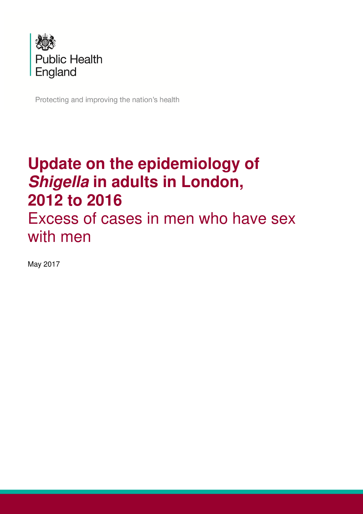

Protecting and improving the nation's health

## **Update on the epidemiology of Shigella in adults in London, 2012 to 2016**  Excess of cases in men who have sex with men

May 2017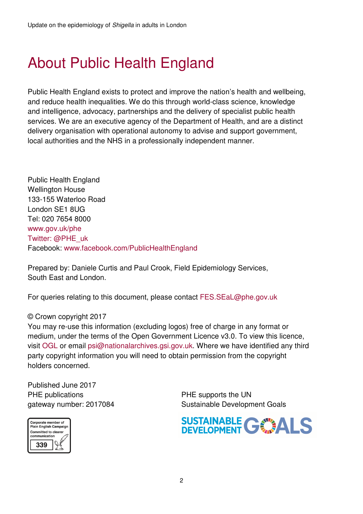## About Public Health England

Public Health England exists to protect and improve the nation's health and wellbeing, and reduce health inequalities. We do this through world-class science, knowledge and intelligence, advocacy, partnerships and the delivery of specialist public health services. We are an executive agency of the Department of Health, and are a distinct delivery organisation with operational autonomy to advise and support government, local authorities and the NHS in a professionally independent manner.

Public Health England Wellington House 133-155 Waterloo Road London SE1 8UG Tel: 020 7654 8000 www.gov.uk/phe Twitter: @PHE\_uk Facebook: www.facebook.com/PublicHealthEngland

Prepared by: Daniele Curtis and Paul Crook, Field Epidemiology Services, South East and London.

For queries relating to this document, please contact FES.SEaL@phe.gov.uk

#### © Crown copyright 2017

You may re-use this information (excluding logos) free of charge in any format or medium, under the terms of the Open Government Licence v3.0. To view this licence, visit OGL or email psi@nationalarchives.gsi.gov.uk. Where we have identified any third party copyright information you will need to obtain permission from the copyright holders concerned.

Published June 2017 PHE publications PHE supports the UN

Corporate member of<br>Plain English Campaign<br>Committed to clearer<br>communication 339

gateway number: 2017084 Sustainable Development Goals

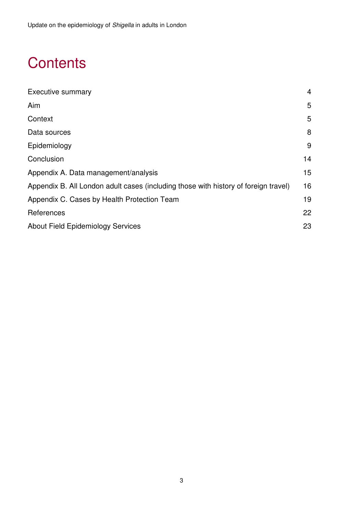## **Contents**

| <b>Executive summary</b>                                                            | 4               |
|-------------------------------------------------------------------------------------|-----------------|
| Aim                                                                                 | 5               |
| Context                                                                             | 5               |
| Data sources                                                                        | 8               |
| Epidemiology                                                                        | 9               |
| Conclusion                                                                          | 14              |
| Appendix A. Data management/analysis                                                | 15 <sub>1</sub> |
| Appendix B. All London adult cases (including those with history of foreign travel) | 16              |
| Appendix C. Cases by Health Protection Team                                         | 19              |
| References                                                                          | 22              |
| <b>About Field Epidemiology Services</b>                                            | 23              |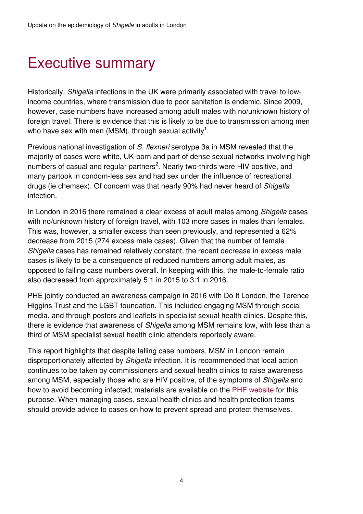### Executive summary

Historically, Shigella infections in the UK were primarily associated with travel to lowincome countries, where transmission due to poor sanitation is endemic. Since 2009, however, case numbers have increased among adult males with no/unknown history of foreign travel. There is evidence that this is likely to be due to transmission among men who have sex with men (MSM), through sexual activity<sup>1</sup>.

Previous national investigation of S. flexneri serotype 3a in MSM revealed that the majority of cases were white, UK-born and part of dense sexual networks involving high numbers of casual and regular partners<sup>2</sup>. Nearly two-thirds were HIV positive, and many partook in condom-less sex and had sex under the influence of recreational drugs (ie chemsex). Of concern was that nearly 90% had never heard of Shigella infection.

In London in 2016 there remained a clear excess of adult males among Shigella cases with no/unknown history of foreign travel, with 103 more cases in males than females. This was, however, a smaller excess than seen previously, and represented a 62% decrease from 2015 (274 excess male cases). Given that the number of female Shigella cases has remained relatively constant, the recent decrease in excess male cases is likely to be a consequence of reduced numbers among adult males, as opposed to falling case numbers overall. In keeping with this, the male-to-female ratio also decreased from approximately 5:1 in 2015 to 3:1 in 2016.

PHE jointly conducted an awareness campaign in 2016 with Do It London, the Terence Higgins Trust and the LGBT foundation. This included engaging MSM through social media, and through posters and leaflets in specialist sexual health clinics. Despite this, there is evidence that awareness of Shigella among MSM remains low, with less than a third of MSM specialist sexual health clinic attenders reportedly aware.

This report highlights that despite falling case numbers, MSM in London remain disproportionately affected by Shigella infection. It is recommended that local action continues to be taken by commissioners and sexual health clinics to raise awareness among MSM, especially those who are HIV positive, of the symptoms of Shigella and how to avoid becoming infected; materials are available on the PHE website for this purpose. When managing cases, sexual health clinics and health protection teams should provide advice to cases on how to prevent spread and protect themselves.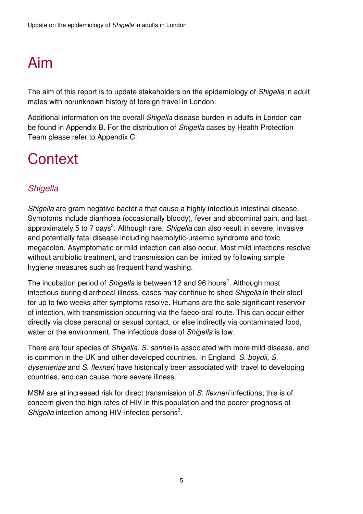## Aim

The aim of this report is to update stakeholders on the epidemiology of *Shigella* in adult males with no/unknown history of foreign travel in London.

Additional information on the overall Shigella disease burden in adults in London can be found in Appendix B. For the distribution of Shigella cases by Health Protection Team please refer to Appendix C.

## **Context**

### **Shigella**

Shigella are gram negative bacteria that cause a highly infectious intestinal disease. Symptoms include diarrhoea (occasionally bloody), fever and abdominal pain, and last approximately 5 to 7 days<sup>3</sup>. Although rare, Shigella can also result in severe, invasive and potentially fatal disease including haemolytic-uraemic syndrome and toxic megacolon. Asymptomatic or mild infection can also occur. Most mild infections resolve without antibiotic treatment, and transmission can be limited by following simple hygiene measures such as frequent hand washing.

The incubation period of Shigella is between 12 and 96 hours<sup>4</sup>. Although most infectious during diarrhoeal illness, cases may continue to shed Shigella in their stool for up to two weeks after symptoms resolve. Humans are the sole significant reservoir of infection, with transmission occurring via the faeco-oral route. This can occur either directly via close personal or sexual contact, or else indirectly via contaminated food, water or the environment. The infectious dose of Shigella is low.

There are four species of Shigella. S. sonnei is associated with more mild disease, and is common in the UK and other developed countries. In England, S. boydii, S. dysenteriae and S. flexneri have historically been associated with travel to developing countries, and can cause more severe illness.

MSM are at increased risk for direct transmission of S. flexneri infections; this is of concern given the high rates of HIV in this population and the poorer prognosis of Shigella infection among HIV-infected persons $3$ .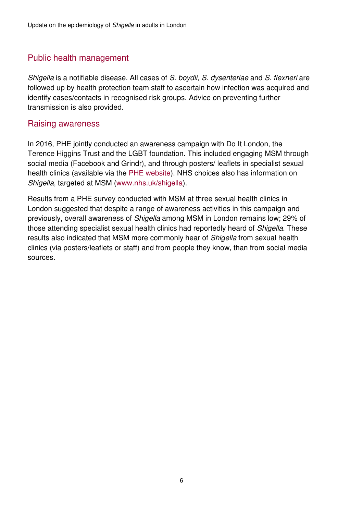### Public health management

Shigella is a notifiable disease. All cases of S. boydii, S. dysenteriae and S. flexneri are followed up by health protection team staff to ascertain how infection was acquired and identify cases/contacts in recognised risk groups. Advice on preventing further transmission is also provided.

### Raising awareness

In 2016, PHE jointly conducted an awareness campaign with Do It London, the Terence Higgins Trust and the LGBT foundation. This included engaging MSM through social media (Facebook and Grindr), and through posters/ leaflets in specialist sexual health clinics (available via the PHE website). NHS choices also has information on Shigella, targeted at MSM (www.nhs.uk/shigella).

Results from a PHE survey conducted with MSM at three sexual health clinics in London suggested that despite a range of awareness activities in this campaign and previously, overall awareness of Shigella among MSM in London remains low; 29% of those attending specialist sexual health clinics had reportedly heard of Shigella. These results also indicated that MSM more commonly hear of Shigella from sexual health clinics (via posters/leaflets or staff) and from people they know, than from social media sources.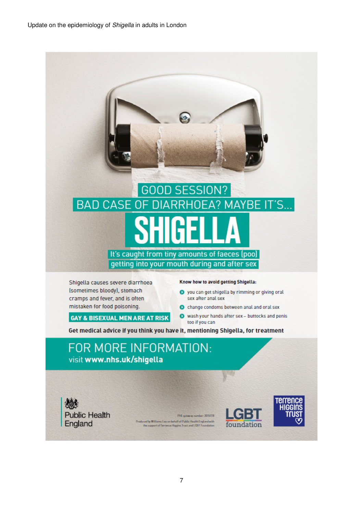Update on the epidemiology of Shigella in adults in London

# **GOOD SESSION? BAD CASE OF DIARRHOEA? MAYBE IT'S...** It's caught from tiny amounts of faeces (poo) getting into your mouth during and after sex

Shigella causes severe diarrhoea (sometimes bloody), stomach cramps and fever, and is often mistaken for food poisoning.

**GAY & BISEXUAL MEN ARE AT RISK** 

#### Know how to avoid getting Shigella:

- O you can get shigella by rimming or giving oral sex after anal sex
- C change condoms between anal and oral sex
- Wash your hands after sex buttocks and penis too if you can

Get medical advice if you think you have it, mentioning Shigella, for treatment

### FOR MORE INFORMATION: visit www.nhs.uk/shigella

**Public Health** England

PHE gate nber: 2015728 Produced by Williams. Lea on behalf of Public Health England with<br>the support of Terrence Higgins Trust and LGBT Foundation



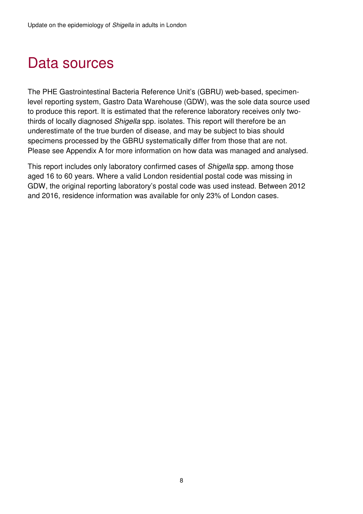## Data sources

The PHE Gastrointestinal Bacteria Reference Unit's (GBRU) web-based, specimenlevel reporting system, Gastro Data Warehouse (GDW), was the sole data source used to produce this report. It is estimated that the reference laboratory receives only twothirds of locally diagnosed Shigella spp. isolates. This report will therefore be an underestimate of the true burden of disease, and may be subject to bias should specimens processed by the GBRU systematically differ from those that are not. Please see Appendix A for more information on how data was managed and analysed.

This report includes only laboratory confirmed cases of Shigella spp. among those aged 16 to 60 years. Where a valid London residential postal code was missing in GDW, the original reporting laboratory's postal code was used instead. Between 2012 and 2016, residence information was available for only 23% of London cases.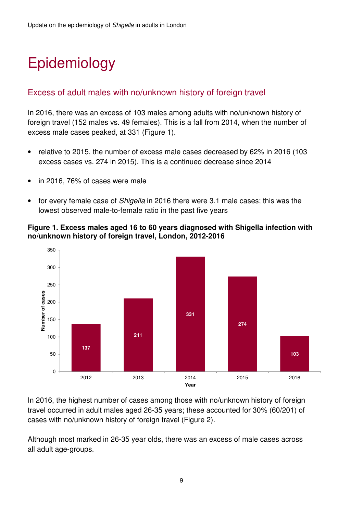# Epidemiology

### Excess of adult males with no/unknown history of foreign travel

In 2016, there was an excess of 103 males among adults with no/unknown history of foreign travel (152 males vs. 49 females). This is a fall from 2014, when the number of excess male cases peaked, at 331 (Figure 1).

- relative to 2015, the number of excess male cases decreased by 62% in 2016 (103 excess cases vs. 274 in 2015). This is a continued decrease since 2014
- in 2016, 76% of cases were male
- for every female case of Shigella in 2016 there were 3.1 male cases; this was the lowest observed male-to-female ratio in the past five years

#### **Figure 1. Excess males aged 16 to 60 years diagnosed with Shigella infection with no/unknown history of foreign travel, London, 2012-2016**



In 2016, the highest number of cases among those with no/unknown history of foreign travel occurred in adult males aged 26-35 years; these accounted for 30% (60/201) of cases with no/unknown history of foreign travel (Figure 2).

Although most marked in 26-35 year olds, there was an excess of male cases across all adult age-groups.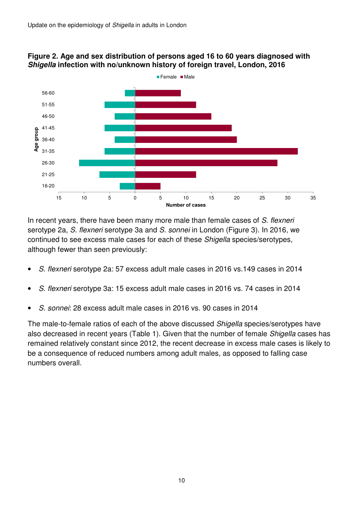

#### **Figure 2. Age and sex distribution of persons aged 16 to 60 years diagnosed with Shigella infection with no/unknown history of foreign travel, London, 2016**

In recent years, there have been many more male than female cases of S. flexneri serotype 2a, S. flexneri serotype 3a and S. sonnei in London (Figure 3). In 2016, we continued to see excess male cases for each of these Shigella species/serotypes, although fewer than seen previously:

- S. flexneri serotype 2a: 57 excess adult male cases in 2016 vs.149 cases in 2014
- S. flexneri serotype 3a: 15 excess adult male cases in 2016 vs. 74 cases in 2014
- S. sonnei: 28 excess adult male cases in 2016 vs. 90 cases in 2014

The male-to-female ratios of each of the above discussed *Shigella* species/serotypes have also decreased in recent years (Table 1). Given that the number of female Shigella cases has remained relatively constant since 2012, the recent decrease in excess male cases is likely to be a consequence of reduced numbers among adult males, as opposed to falling case numbers overall.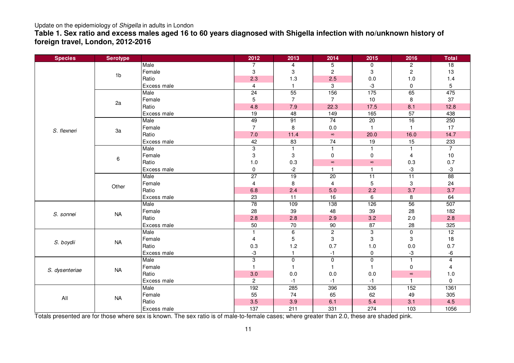#### Update on the epidemiology of Shigella in adults in London

 **Table 1. Sex ratio and excess males aged 16 to 60 years diagnosed with Shigella infection with no/unknown history of foreign travel, London, 2012-2016** 

| <b>Species</b> | <b>Serotype</b> |             | 2012                    | 2013            | 2014                      | 2015           | 2016                      | <b>Total</b>    |
|----------------|-----------------|-------------|-------------------------|-----------------|---------------------------|----------------|---------------------------|-----------------|
| S. flexneri    | 1 <sub>b</sub>  | Male        | 7                       | 4               | 5                         | 0              | $\overline{c}$            | $\overline{18}$ |
|                |                 | Female      | 3                       | 3               | $\overline{c}$            | 3              | $\overline{c}$            | 13              |
|                |                 | Ratio       | 2.3                     | 1.3             | 2.5                       | 0.0            | 1.0                       | 1.4             |
|                |                 | Excess male | $\overline{4}$          | $\mathbf{1}$    | 3                         | -3             | $\mathbf 0$               | 5               |
|                | 2a              | Male        | $\overline{24}$         | 55              | 156                       | 175            | 65                        | 475             |
|                |                 | Female      | 5                       | $\overline{7}$  | $\overline{7}$            | 10             | 8                         | 37              |
|                |                 | Ratio       | 4.8                     | 7.9             | 22.3                      | 17.5           | 8.1                       | 12.8            |
|                |                 | Excess male | 19                      | 48              | 149                       | 165            | 57                        | 438             |
|                | 3a              | Male        | 49                      | 91              | $\overline{74}$           | 20             | 16                        | 250             |
|                |                 | Female      | $\overline{7}$          | 8               | 0.0                       | $\mathbf{1}$   | $\mathbf{1}$              | 17              |
|                |                 | Ratio       | 7.0                     | 11.4            | $\infty$                  | 20.0           | 16.0                      | 14.7            |
|                |                 | Excess male | 42                      | 83              | 74                        | 19             | 15                        | 233             |
|                | 6               | Male        | $\overline{3}$          | $\mathbf{1}$    | $\mathbf{1}$              | $\mathbf{1}$   | $\overline{1}$            | $\overline{7}$  |
|                |                 | Female      | 3                       | 3               | $\mathbf 0$               | 0              | $\overline{4}$            | 10              |
|                |                 | Ratio       | $1.0$                   | 0.3             | $\infty$                  | $\infty$       | 0.3                       | 0.7             |
|                |                 | Excess male | 0                       | $-2$            | $\mathbf{1}$              | $\mathbf{1}$   | $-3$                      | $-3$            |
|                | Other           | Male        | $\overline{27}$         | 19              | $\overline{20}$           | 11             | 11                        | 88              |
|                |                 | Female      | $\overline{\mathbf{4}}$ | 8               | $\overline{4}$            | 5              | $\,3$                     | 24              |
|                |                 | Ratio       | 6.8                     | 2.4             | 5.0                       | 2.2            | 3.7                       | 3.7             |
|                |                 | Excess male | 23                      | 11              | 16                        | 6              | 8                         | 64              |
|                | <b>NA</b>       | Male        | 78                      | 109             | 138                       | 126            | 56                        | 507             |
| S. sonnei      |                 | Female      | 28                      | 39              | 48                        | 39             | 28                        | 182             |
|                |                 | Ratio       | 2.8                     | 2.8             | 2.9                       | 3.2            | 2.0                       | 2.8             |
|                |                 | Excess male | 50                      | 70              | 90                        | 87             | 28                        | 325             |
| S. boydii      | <b>NA</b>       | Male        | $\mathbf{1}$            | $6\overline{6}$ | $\overline{2}$            | 3              | $\overline{0}$            | 12              |
|                |                 | Female      | 4                       | 5               | $\ensuremath{\mathsf{3}}$ | 3              | $\ensuremath{\mathsf{3}}$ | 18              |
|                |                 | Ratio       | 0.3                     | 1.2             | 0.7                       | 1.0            | 0.0                       | 0.7             |
|                |                 | Excess male | -3                      | $\mathbf{1}$    | $-1$                      | 0              | $-3$                      | $-6$            |
| S. dysenteriae | <b>NA</b>       | Male        | 3                       | $\overline{0}$  | $\mathbf 0$               | $\overline{0}$ | $\overline{1}$            | 4               |
|                |                 | Female      | $\mathbf{1}$            | $\mathbf{1}$    | $\mathbf{1}$              | $\mathbf{1}$   | $\pmb{0}$                 | 4               |
|                |                 | Ratio       | 3.0                     | 0.0             | 0.0                       | 0.0            | $\infty$                  | 1.0             |
|                |                 | Excess male | $\overline{c}$          | $-1$            | $-1$                      | $-1$           | $\overline{\mathbf{1}}$   | $\mathbf 0$     |
| $\mathsf{All}$ | <b>NA</b>       | Male        | 192                     | 285             | 396                       | 336            | 152                       | 1361            |
|                |                 | Female      | 55                      | 74              | 65                        | 62             | 49                        | 305             |
|                |                 | Ratio       | 3.5                     | 3.9             | 6.1                       | 5.4            | 3.1                       | 4.5             |
|                |                 | Excess male | 137                     | 211             | 331                       | 274            | 103                       | 1056            |

Totals presented are for those where sex is known. The sex ratio is of male-to-female cases; where greater than 2.0, these are shaded pink.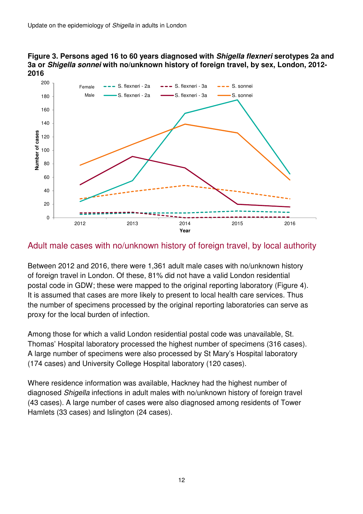#### **Figure 3. Persons aged 16 to 60 years diagnosed with Shigella flexneri serotypes 2a and 3a or Shigella sonnei with no/unknown history of foreign travel, by sex, London, 2012- 2016**



### Adult male cases with no/unknown history of foreign travel, by local authority

Between 2012 and 2016, there were 1,361 adult male cases with no/unknown history of foreign travel in London. Of these, 81% did not have a valid London residential postal code in GDW; these were mapped to the original reporting laboratory (Figure 4). It is assumed that cases are more likely to present to local health care services. Thus the number of specimens processed by the original reporting laboratories can serve as proxy for the local burden of infection.

Among those for which a valid London residential postal code was unavailable, St. Thomas' Hospital laboratory processed the highest number of specimens (316 cases). A large number of specimens were also processed by St Mary's Hospital laboratory (174 cases) and University College Hospital laboratory (120 cases).

Where residence information was available, Hackney had the highest number of diagnosed Shigella infections in adult males with no/unknown history of foreign travel (43 cases). A large number of cases were also diagnosed among residents of Tower Hamlets (33 cases) and Islington (24 cases).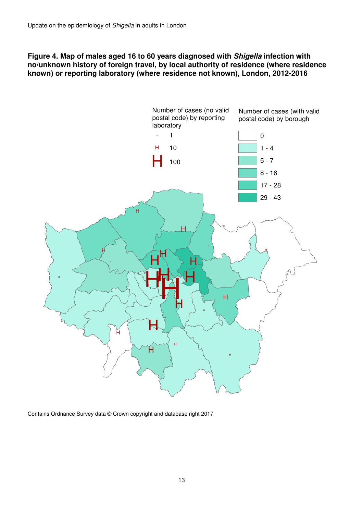#### **Figure 4. Map of males aged 16 to 60 years diagnosed with Shigella infection with no/unknown history of foreign travel, by local authority of residence (where residence known) or reporting laboratory (where residence not known), London, 2012-2016**



Contains Ordnance Survey data © Crown copyright and database right 2017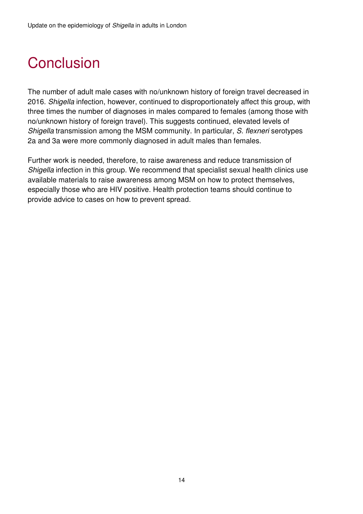## **Conclusion**

The number of adult male cases with no/unknown history of foreign travel decreased in 2016. Shigella infection, however, continued to disproportionately affect this group, with three times the number of diagnoses in males compared to females (among those with no/unknown history of foreign travel). This suggests continued, elevated levels of Shigella transmission among the MSM community. In particular, S. flexneri serotypes 2a and 3a were more commonly diagnosed in adult males than females.

Further work is needed, therefore, to raise awareness and reduce transmission of Shigella infection in this group. We recommend that specialist sexual health clinics use available materials to raise awareness among MSM on how to protect themselves, especially those who are HIV positive. Health protection teams should continue to provide advice to cases on how to prevent spread.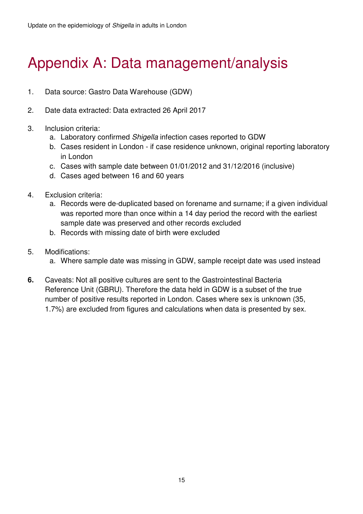## Appendix A: Data management/analysis

- 1. Data source: Gastro Data Warehouse (GDW)
- 2. Date data extracted: Data extracted 26 April 2017
- 3. Inclusion criteria:
	- a. Laboratory confirmed Shigella infection cases reported to GDW
	- b. Cases resident in London if case residence unknown, original reporting laboratory in London
	- c. Cases with sample date between 01/01/2012 and 31/12/2016 (inclusive)
	- d. Cases aged between 16 and 60 years
- 4. Exclusion criteria:
	- a. Records were de-duplicated based on forename and surname; if a given individual was reported more than once within a 14 day period the record with the earliest sample date was preserved and other records excluded
	- b. Records with missing date of birth were excluded
- 5. Modifications:
	- a. Where sample date was missing in GDW, sample receipt date was used instead
- **6.** Caveats: Not all positive cultures are sent to the Gastrointestinal Bacteria Reference Unit (GBRU). Therefore the data held in GDW is a subset of the true number of positive results reported in London. Cases where sex is unknown (35, 1.7%) are excluded from figures and calculations when data is presented by sex.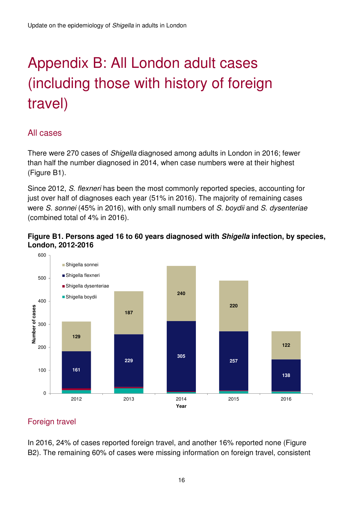# Appendix B: All London adult cases (including those with history of foreign travel)

### All cases

There were 270 cases of Shigella diagnosed among adults in London in 2016; fewer than half the number diagnosed in 2014, when case numbers were at their highest (Figure B1).

Since 2012, S. flexneri has been the most commonly reported species, accounting for just over half of diagnoses each year (51% in 2016). The majority of remaining cases were S. sonnei (45% in 2016), with only small numbers of S. boydii and S. dysenteriae (combined total of 4% in 2016).





### Foreign travel

In 2016, 24% of cases reported foreign travel, and another 16% reported none (Figure B2). The remaining 60% of cases were missing information on foreign travel, consistent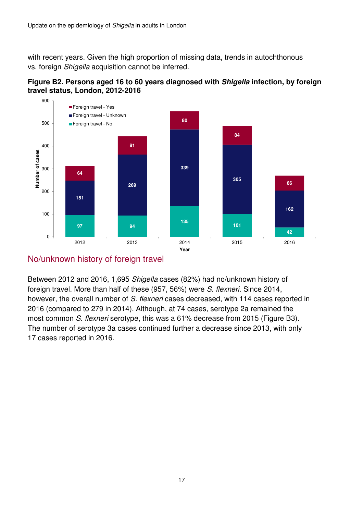with recent years. Given the high proportion of missing data, trends in autochthonous vs. foreign Shigella acquisition cannot be inferred.





### No/unknown history of foreign travel

Between 2012 and 2016, 1,695 Shigella cases (82%) had no/unknown history of foreign travel. More than half of these (957, 56%) were S. flexneri. Since 2014, however, the overall number of S. flexneri cases decreased, with 114 cases reported in 2016 (compared to 279 in 2014). Although, at 74 cases, serotype 2a remained the most common S. flexneri serotype, this was a 61% decrease from 2015 (Figure B3). The number of serotype 3a cases continued further a decrease since 2013, with only 17 cases reported in 2016.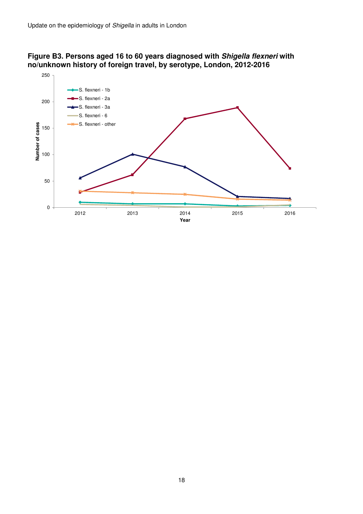#### **Figure B3. Persons aged 16 to 60 years diagnosed with Shigella flexneri with no/unknown history of foreign travel, by serotype, London, 2012-2016**

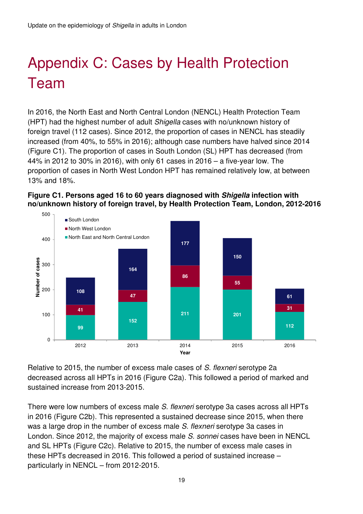# Appendix C: Cases by Health Protection Team

In 2016, the North East and North Central London (NENCL) Health Protection Team (HPT) had the highest number of adult Shigella cases with no/unknown history of foreign travel (112 cases). Since 2012, the proportion of cases in NENCL has steadily increased (from 40%, to 55% in 2016); although case numbers have halved since 2014 (Figure C1). The proportion of cases in South London (SL) HPT has decreased (from 44% in 2012 to 30% in 2016), with only 61 cases in 2016 – a five-year low. The proportion of cases in North West London HPT has remained relatively low, at between 13% and 18%.





Relative to 2015, the number of excess male cases of S. flexneri serotype 2a decreased across all HPTs in 2016 (Figure C2a). This followed a period of marked and sustained increase from 2013-2015.

There were low numbers of excess male S. flexneri serotype 3a cases across all HPTs in 2016 (Figure C2b). This represented a sustained decrease since 2015, when there was a large drop in the number of excess male S. flexneri serotype 3a cases in London. Since 2012, the majority of excess male S. sonnei cases have been in NENCL and SL HPTs (Figure C2c). Relative to 2015, the number of excess male cases in these HPTs decreased in 2016. This followed a period of sustained increase – particularly in NENCL – from 2012-2015.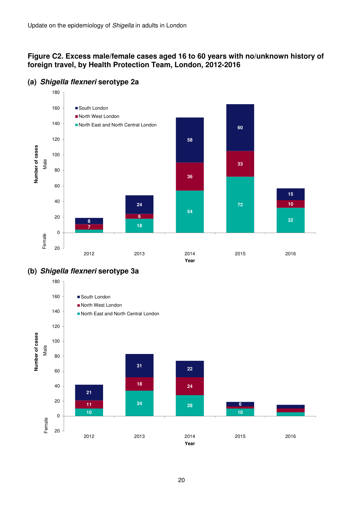#### **Figure C2. Excess male/female cases aged 16 to 60 years with no/unknown history of foreign travel, by Health Protection Team, London, 2012-2016**



#### **(a) Shigella flexneri serotype 2a**



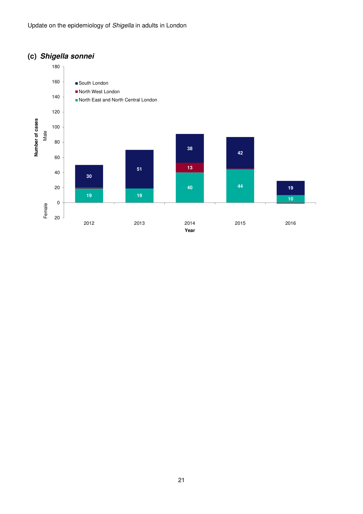### **(c) Shigella sonnei**

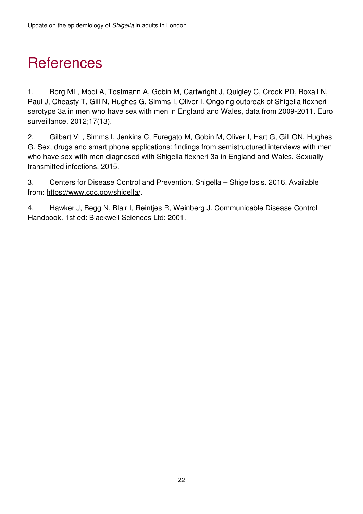## **References**

1. Borg ML, Modi A, Tostmann A, Gobin M, Cartwright J, Quigley C, Crook PD, Boxall N, Paul J, Cheasty T, Gill N, Hughes G, Simms I, Oliver I. Ongoing outbreak of Shigella flexneri serotype 3a in men who have sex with men in England and Wales, data from 2009-2011. Euro surveillance. 2012;17(13).

2. Gilbart VL, Simms I, Jenkins C, Furegato M, Gobin M, Oliver I, Hart G, Gill ON, Hughes G. Sex, drugs and smart phone applications: findings from semistructured interviews with men who have sex with men diagnosed with Shigella flexneri 3a in England and Wales. Sexually transmitted infections. 2015.

3. Centers for Disease Control and Prevention. Shigella – Shigellosis. 2016. Available from: https://www.cdc.gov/shigella/.

4. Hawker J, Begg N, Blair I, Reintjes R, Weinberg J. Communicable Disease Control Handbook. 1st ed: Blackwell Sciences Ltd; 2001.